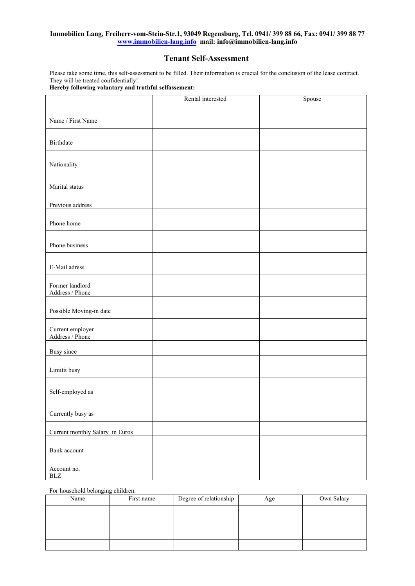## **Immobilien Lang, Freiherr-vom-Stein-Str.1, 93049 Regensburg, Tel. 0941/ 399 88 66, Fax: 0941/ 399 88 77 www.immobilien-lang.info mail: info@immobilien-lang.info**

## **Tenant Self-Assessment**

Please take some time, this self-assessment to be filled. Their information is crucial for the conclusion of the lease contract. They will be treated confidentially!.

**Hereby following voluntary and truthful selfassement:**

|                                     | Rental interested | Spouse |
|-------------------------------------|-------------------|--------|
| Name / First Name                   |                   |        |
| Birthdate                           |                   |        |
| Nationality                         |                   |        |
| Marital status                      |                   |        |
| Previous address                    |                   |        |
| Phone home                          |                   |        |
| Phone business                      |                   |        |
| E-Mail adress                       |                   |        |
| Former landlord<br>Address / Phone  |                   |        |
| Possible Moving-in date             |                   |        |
| Current employer<br>Address / Phone |                   |        |
| Busy since                          |                   |        |
| Limitit busy                        |                   |        |
| Self-employed as                    |                   |        |
| Currently busy as                   |                   |        |
| Current monthly Salary in Euros     |                   |        |
| Bank account                        |                   |        |
| Account no.<br>$\operatorname{BLZ}$ |                   |        |

## For household belonging children:

| Name | First name | Degree of relationship | Age | Own Salary |
|------|------------|------------------------|-----|------------|
|      |            |                        |     |            |
|      |            |                        |     |            |
|      |            |                        |     |            |
|      |            |                        |     |            |